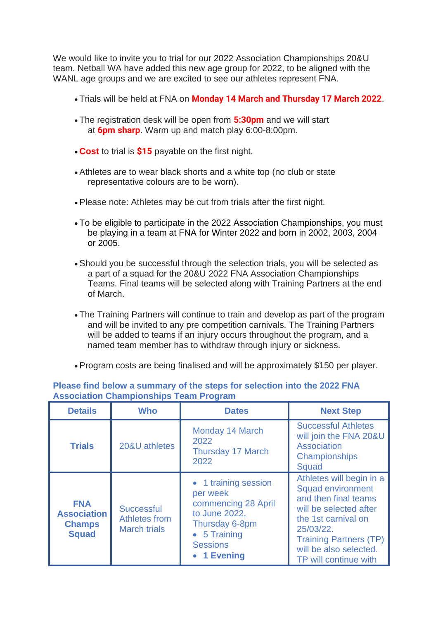We would like to invite you to trial for our 2022 Association Championships 20&U team. Netball WA have added this new age group for 2022, to be aligned with the WANL age groups and we are excited to see our athletes represent FNA.

- Trials will be held at FNA on **Monday 14 March and Thursday 17 March 2022**.
- The registration desk will be open from **5:30pm** and we will start at **6pm sharp**. Warm up and match play 6:00-8:00pm.
- **Cost** to trial is **\$15** payable on the first night.
- Athletes are to wear black shorts and a white top (no club or state representative colours are to be worn).
- Please note: Athletes may be cut from trials after the first night.
- To be eligible to participate in the 2022 Association Championships, you must be playing in a team at FNA for Winter 2022 and born in 2002, 2003, 2004 or 2005.
- Should you be successful through the selection trials, you will be selected as a part of a squad for the 20&U 2022 FNA Association Championships Teams. Final teams will be selected along with Training Partners at the end of March.
- The Training Partners will continue to train and develop as part of the program and will be invited to any pre competition carnivals. The Training Partners will be added to teams if an injury occurs throughout the program, and a named team member has to withdraw through injury or sickness.
- Program costs are being finalised and will be approximately \$150 per player.

| <b>Details</b>                                                    | <b>Who</b>                                                | <b>Dates</b>                                                                                                                                         | <b>Next Step</b>                                                                                                                                                                                                               |
|-------------------------------------------------------------------|-----------------------------------------------------------|------------------------------------------------------------------------------------------------------------------------------------------------------|--------------------------------------------------------------------------------------------------------------------------------------------------------------------------------------------------------------------------------|
| <b>Trials</b>                                                     | 20&U athletes                                             | Monday 14 March<br>2022<br><b>Thursday 17 March</b><br>2022                                                                                          | <b>Successful Athletes</b><br>will join the FNA 20&U<br><b>Association</b><br><b>Championships</b><br>Squad                                                                                                                    |
| <b>FNA</b><br><b>Association</b><br><b>Champs</b><br><b>Squad</b> | <b>Successful</b><br>Athletes from<br><b>March trials</b> | • 1 training session<br>per week<br>commencing 28 April<br>to June 2022,<br>Thursday 6-8pm<br>$\bullet$ 5 Training<br><b>Sessions</b><br>• 1 Evening | Athletes will begin in a<br><b>Squad environment</b><br>and then final teams<br>will be selected after<br>the 1st carnival on<br>25/03/22.<br><b>Training Partners (TP)</b><br>will be also selected.<br>TP will continue with |

**Please find below a summary of the steps for selection into the 2022 FNA Association Championships Team Program**